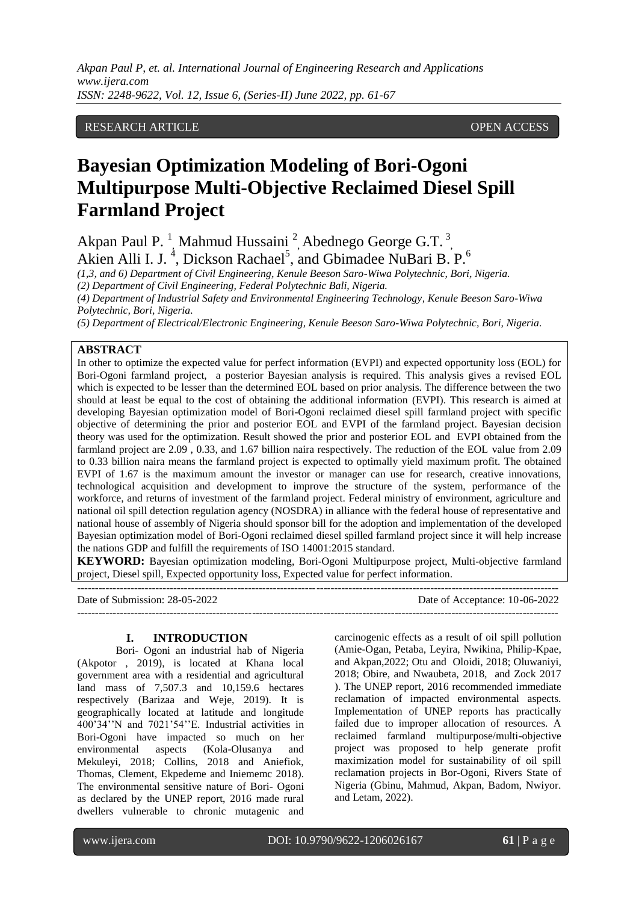*Akpan Paul P, et. al. International Journal of Engineering Research and Applications www.ijera.com ISSN: 2248-9622, Vol. 12, Issue 6, (Series-II) June 2022, pp. 61-67*

## RESEARCH ARTICLE **CONSERVERS** OPEN ACCESS

# **Bayesian Optimization Modeling of Bori-Ogoni Multipurpose Multi-Objective Reclaimed Diesel Spill Farmland Project**

Akpan Paul P.<sup>1</sup>, Mahmud Hussaini<sup>2</sup>, Abednego George G.T.<sup>3</sup>, Akien Alli I. J.<sup>4</sup>, Dickson Rachael<sup>5</sup>, and Gbimadee NuBari B. P.<sup>6</sup>

*(1,3, and 6) Department of Civil Engineering, Kenule Beeson Saro-Wiwa Polytechnic, Bori, Nigeria.*

*(2) Department of Civil Engineering, Federal Polytechnic Bali, Nigeria.*

*(4) Department of Industrial Safety and Environmental Engineering Technology, Kenule Beeson Saro-Wiwa Polytechnic, Bori, Nigeria.*

*(5) Department of Electrical/Electronic Engineering, Kenule Beeson Saro-Wiwa Polytechnic, Bori, Nigeria.*

## **ABSTRACT**

In other to optimize the expected value for perfect information (EVPI) and expected opportunity loss (EOL) for Bori-Ogoni farmland project, a posterior Bayesian analysis is required. This analysis gives a revised EOL which is expected to be lesser than the determined EOL based on prior analysis. The difference between the two should at least be equal to the cost of obtaining the additional information (EVPI). This research is aimed at developing Bayesian optimization model of Bori-Ogoni reclaimed diesel spill farmland project with specific objective of determining the prior and posterior EOL and EVPI of the farmland project. Bayesian decision theory was used for the optimization. Result showed the prior and posterior EOL and EVPI obtained from the farmland project are 2.09 , 0.33, and 1.67 billion naira respectively. The reduction of the EOL value from 2.09 to 0.33 billion naira means the farmland project is expected to optimally yield maximum profit. The obtained EVPI of 1.67 is the maximum amount the investor or manager can use for research, creative innovations, technological acquisition and development to improve the structure of the system, performance of the workforce, and returns of investment of the farmland project. Federal ministry of environment, agriculture and national oil spill detection regulation agency (NOSDRA) in alliance with the federal house of representative and national house of assembly of Nigeria should sponsor bill for the adoption and implementation of the developed Bayesian optimization model of Bori-Ogoni reclaimed diesel spilled farmland project since it will help increase the nations GDP and fulfill the requirements of ISO 14001:2015 standard.

**KEYWORD:** Bayesian optimization modeling, Bori-Ogoni Multipurpose project, Multi-objective farmland project, Diesel spill, Expected opportunity loss, Expected value for perfect information.

--------------------------------------------------------------------------------------------------------------------------------------- Date of Submission: 28-05-2022 Date of Acceptance: 10-06-2022 ---------------------------------------------------------------------------------------------------------------------------------------

#### **I. INTRODUCTION**

Bori- Ogoni an industrial hab of Nigeria (Akpotor , 2019), is located at Khana local government area with a residential and agricultural land mass of 7,507.3 and 10,159.6 hectares respectively (Barizaa and Weje, 2019). It is geographically located at latitude and longitude 400'34''N and 7021'54''E. Industrial activities in Bori-Ogoni have impacted so much on her environmental aspects (Kola-Olusanya and Mekuleyi, 2018; Collins, 2018 and Aniefiok, Thomas, Clement, Ekpedeme and Iniememc 2018). The environmental sensitive nature of Bori- Ogoni as declared by the UNEP report, 2016 made rural dwellers vulnerable to chronic mutagenic and carcinogenic effects as a result of oil spill pollution (Amie-Ogan, Petaba, Leyira, Nwikina, Philip-Kpae, and Akpan,2022; Otu and Oloidi, 2018; Oluwaniyi, 2018; Obire, and Nwaubeta, 2018, and Zock 2017 ). The UNEP report, 2016 recommended immediate reclamation of impacted environmental aspects. Implementation of UNEP reports has practically failed due to improper allocation of resources. A reclaimed farmland multipurpose/multi-objective project was proposed to help generate profit maximization model for sustainability of oil spill reclamation projects in Bor-Ogoni, Rivers State of Nigeria (Gbinu, Mahmud, Akpan, Badom, Nwiyor. and Letam, 2022).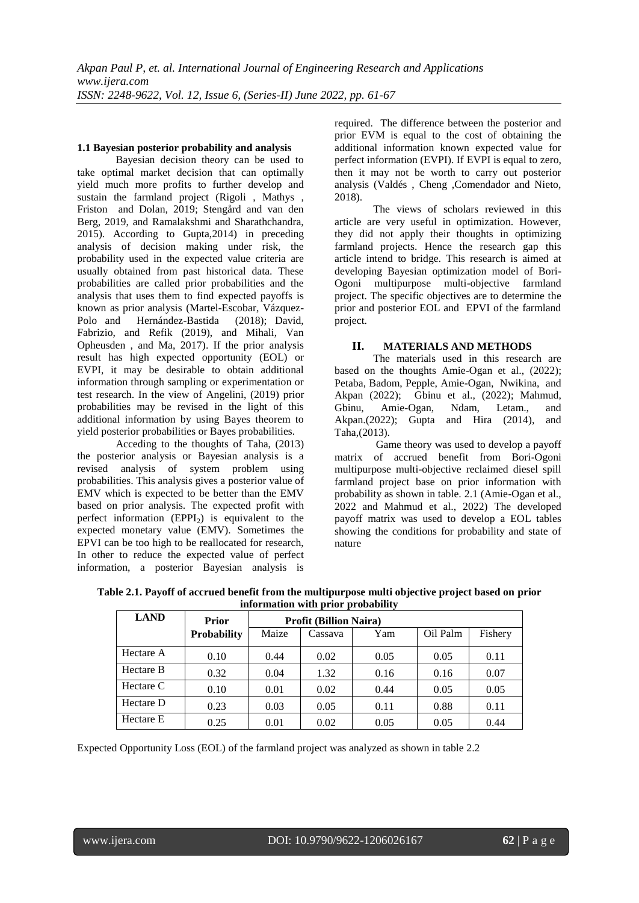#### **1.1 Bayesian posterior probability and analysis**

Bayesian decision theory can be used to take optimal market decision that can optimally yield much more profits to further develop and sustain the farmland project (Rigoli , Mathys , Friston and Dolan, 2019; Stengård and van den Berg, 2019, and Ramalakshmi and Sharathchandra, 2015). According to Gupta,2014) in preceding analysis of decision making under risk, the probability used in the expected value criteria are usually obtained from past historical data. These probabilities are called prior probabilities and the analysis that uses them to find expected payoffs is known as prior analysis (Martel-Escobar, Vázquez-Polo and Hernández-Bastida (2018); David, Fabrizio, and Refik (2019), and Mihali, Van Opheusden , and Ma, 2017). If the prior analysis result has high expected opportunity (EOL) or EVPI, it may be desirable to obtain additional information through sampling or experimentation or test research. In the view of Angelini, (2019) prior probabilities may be revised in the light of this additional information by using Bayes theorem to yield posterior probabilities or Bayes probabilities.

Acceding to the thoughts of Taha, (2013) the posterior analysis or Bayesian analysis is a revised analysis of system problem using probabilities. This analysis gives a posterior value of EMV which is expected to be better than the EMV based on prior analysis. The expected profit with perfect information  $(EPPI<sub>2</sub>)$  is equivalent to the expected monetary value (EMV). Sometimes the EPVI can be too high to be reallocated for research, In other to reduce the expected value of perfect information, a posterior Bayesian analysis is

required. The difference between the posterior and prior EVM is equal to the cost of obtaining the additional information known expected value for perfect information (EVPI). If EVPI is equal to zero, then it may not be worth to carry out posterior analysis (Valdés , Cheng ,Comendador and Nieto, 2018).

The views of scholars reviewed in this article are very useful in optimization. However, they did not apply their thoughts in optimizing farmland projects. Hence the research gap this article intend to bridge. This research is aimed at developing Bayesian optimization model of Bori-Ogoni multipurpose multi-objective farmland project. The specific objectives are to determine the prior and posterior EOL and EPVI of the farmland project.

# **II. MATERIALS AND METHODS**

The materials used in this research are based on the thoughts Amie-Ogan et al., (2022); Petaba, Badom, Pepple, Amie-Ogan, Nwikina, and Akpan (2022); Gbinu et al., (2022); Mahmud, Gbinu, Amie-Ogan, Ndam, Letam., and Akpan.(2022); Gupta and Hira (2014), and Taha,(2013).

Game theory was used to develop a payoff matrix of accrued benefit from Bori-Ogoni multipurpose multi-objective reclaimed diesel spill farmland project base on prior information with probability as shown in table. 2.1 (Amie-Ogan et al., 2022 and Mahmud et al., 2022) The developed payoff matrix was used to develop a EOL tables showing the conditions for probability and state of nature

|      |                                        |                                                                                               | information with prior probability |  |  |  |  |  |
|------|----------------------------------------|-----------------------------------------------------------------------------------------------|------------------------------------|--|--|--|--|--|
| LAND | <b>Profit (Billion Naira)</b><br>Prior |                                                                                               |                                    |  |  |  |  |  |
|      | Duchobility                            | $\Gamma$ Coconic<br>$\Gamma$ ichowr<br>$M_{\text{OZZ}}$<br>$\bigcap_{i=1}^{n} D_{i,j}$<br>Vam |                                    |  |  |  |  |  |

**Table 2.1. Payoff of accrued benefit from the multipurpose multi objective project based on prior** 

|           | 1 1 1V1            | 110111 (Dunon Nan a) |         |      |          |         |
|-----------|--------------------|----------------------|---------|------|----------|---------|
|           | <b>Probability</b> | Maize                | Cassava | Yam  | Oil Palm | Fishery |
| Hectare A | 0.10               | 0.44                 | 0.02    | 0.05 | 0.05     | 0.11    |
| Hectare B | 0.32               | 0.04                 | 1.32    | 0.16 | 0.16     | 0.07    |
| Hectare C | 0.10               | 0.01                 | 0.02    | 0.44 | 0.05     | 0.05    |
| Hectare D | 0.23               | 0.03                 | 0.05    | 0.11 | 0.88     | 0.11    |
| Hectare E | 0.25               | 0.01                 | 0.02    | 0.05 | 0.05     | 0.44    |

Expected Opportunity Loss (EOL) of the farmland project was analyzed as shown in table 2.2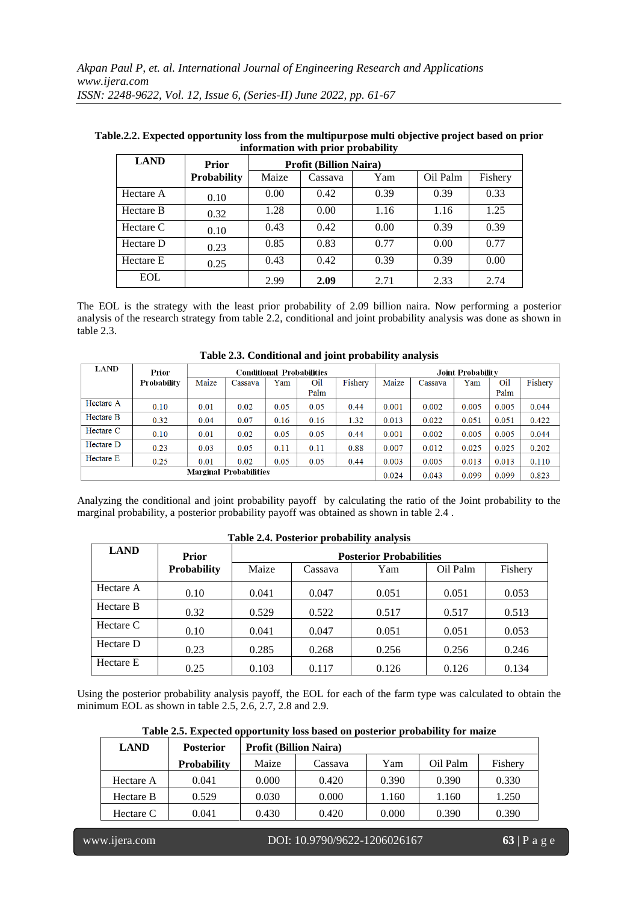| <b>LAND</b> | <b>Prior</b>       | <b>Profit (Billion Naira)</b> |         |      |          |         |
|-------------|--------------------|-------------------------------|---------|------|----------|---------|
|             | <b>Probability</b> | Maize                         | Cassava | Yam  | Oil Palm | Fishery |
| Hectare A   | 0.10               | 0.00                          | 0.42    | 0.39 | 0.39     | 0.33    |
| Hectare B   | 0.32               | 1.28                          | 0.00    | 1.16 | 1.16     | 1.25    |
| Hectare C   | 0.10               | 0.43                          | 0.42    | 0.00 | 0.39     | 0.39    |
| Hectare D   | 0.23               | 0.85                          | 0.83    | 0.77 | 0.00     | 0.77    |
| Hectare E   | 0.25               | 0.43                          | 0.42    | 0.39 | 0.39     | 0.00    |
| <b>EOL</b>  |                    | 2.99                          | 2.09    | 2.71 | 2.33     | 2.74    |

**Table.2.2. Expected opportunity loss from the multipurpose multi objective project based on prior information with prior probability**

The EOL is the strategy with the least prior probability of 2.09 billion naira. Now performing a posterior analysis of the research strategy from table 2.2, conditional and joint probability analysis was done as shown in table 2.3.

| LAND                          | Prior       |       | <b>Conditional Probabilities</b> |       |       |         | <b>Joint Probability</b> |         |       |       |         |
|-------------------------------|-------------|-------|----------------------------------|-------|-------|---------|--------------------------|---------|-------|-------|---------|
|                               | Probability | Maize | Cassava                          | Yam   | Oil   | Fishery | Maize                    | Cassava | Yam   | Oil   | Fishery |
|                               |             |       |                                  |       | Palm  |         |                          |         |       | Palm  |         |
| Hectare A                     | 0.10        | 0.01  | 0.02                             | 0.05  | 0.05  | 0.44    | 0.001                    | 0.002   | 0.005 | 0.005 | 0.044   |
| Hectare B                     | 0.32        | 0.04  | 0.07                             | 0.16  | 0.16  | 1.32    | 0.013                    | 0.022   | 0.051 | 0.051 | 0.422   |
| Hectare C                     | 0.10        | 0.01  | 0.02                             | 0.05  | 0.05  | 0.44    | 0.001                    | 0.002   | 0.005 | 0.005 | 0.044   |
| Hectare D                     | 0.23        | 0.03  | 0.05                             | 0.11  | 0.11  | 0.88    | 0.007                    | 0.012   | 0.025 | 0.025 | 0.202   |
| Hectare E                     | 0.25        | 0.01  | 0.02                             | 0.05  | 0.05  | 0.44    | 0.003                    | 0.005   | 0.013 | 0.013 | 0.110   |
| <b>Marginal Probabilities</b> |             |       |                                  | 0.024 | 0.043 | 0.099   | 0.099                    | 0.823   |       |       |         |

**Table 2.3. Conditional and joint probability analysis**

Analyzing the conditional and joint probability payoff by calculating the ratio of the Joint probability to the marginal probability, a posterior probability payoff was obtained as shown in table 2.4 .

| Table 2.7. I USECTION DEUDADHIEV AHAIVSIS |              |       |                                |       |          |         |  |  |
|-------------------------------------------|--------------|-------|--------------------------------|-------|----------|---------|--|--|
| <b>LAND</b>                               | <b>Prior</b> |       | <b>Posterior Probabilities</b> |       |          |         |  |  |
|                                           | Probability  | Maize | Cassava                        | Yam   | Oil Palm | Fishery |  |  |
| Hectare A                                 | 0.10         | 0.041 | 0.047                          | 0.051 | 0.051    | 0.053   |  |  |
| Hectare B                                 | 0.32         | 0.529 | 0.522                          | 0.517 | 0.517    | 0.513   |  |  |
| Hectare C                                 | 0.10         | 0.041 | 0.047                          | 0.051 | 0.051    | 0.053   |  |  |
| Hectare D                                 | 0.23         | 0.285 | 0.268                          | 0.256 | 0.256    | 0.246   |  |  |
| Hectare E                                 | 0.25         | 0.103 | 0.117                          | 0.126 | 0.126    | 0.134   |  |  |

**Table 2.4. Posterior probability analysis**

Using the posterior probability analysis payoff, the EOL for each of the farm type was calculated to obtain the minimum EOL as shown in table 2.5, 2.6, 2.7, 2.8 and 2.9.

|  |  |  | Table 2.5. Expected opportunity loss based on posterior probability for maize |
|--|--|--|-------------------------------------------------------------------------------|
|--|--|--|-------------------------------------------------------------------------------|

| <b>LAND</b> | <b>Posterior</b>   |       | <b>Profit (Billion Naira)</b> |       |          |         |  |  |
|-------------|--------------------|-------|-------------------------------|-------|----------|---------|--|--|
|             | <b>Probability</b> | Maize | Cassava                       | Yam   | Oil Palm | Fishery |  |  |
| Hectare A   | 0.041              | 0.000 | 0.420                         | 0.390 | 0.390    | 0.330   |  |  |
| Hectare B   | 0.529              | 0.030 | 0.000                         | 1.160 | 1.160    | 1.250   |  |  |
| Hectare C   | 0.041              | 0.430 | 0.420                         | 0.000 | 0.390    | 0.390   |  |  |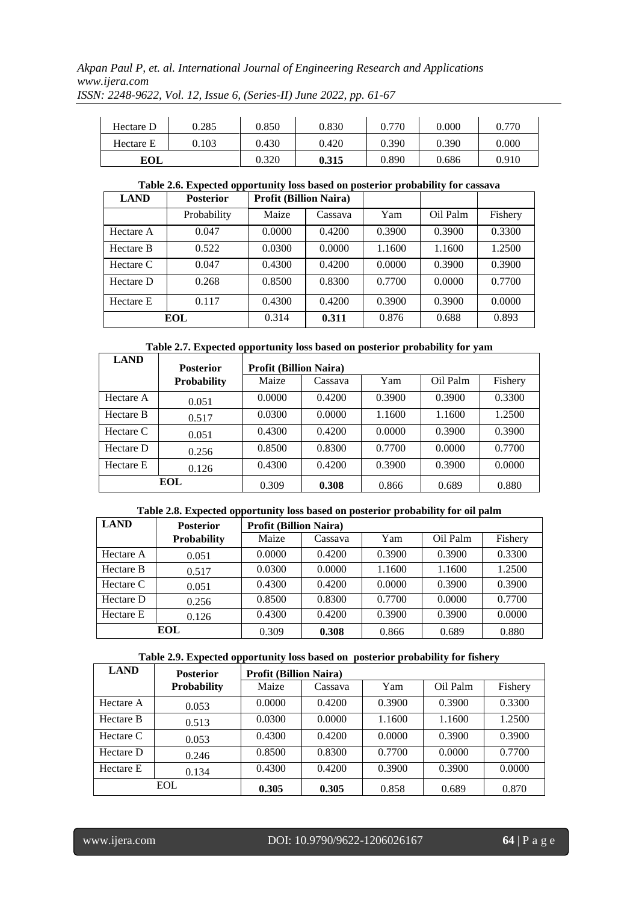*Akpan Paul P, et. al. International Journal of Engineering Research and Applications www.ijera.com ISSN: 2248-9622, Vol. 12, Issue 6, (Series-II) June 2022, pp. 61-67*

| Hectare D | 0.285 | 0.850 | 0.830 | 0.770 | 0.000 | 0.770 |
|-----------|-------|-------|-------|-------|-------|-------|
| Hectare E | 0.103 | 0.430 | 0.420 | 0.390 | 0.390 | 0.000 |
| EOL       |       | 0.320 | 0.315 | 0.890 | 0.686 | 0.910 |

## **Table 2.6. Expected opportunity loss based on posterior probability for cassava**

| <b>LAND</b> | <b>Posterior</b> | <b>Profit (Billion Naira)</b> |         |        |          |         |
|-------------|------------------|-------------------------------|---------|--------|----------|---------|
|             | Probability      | Maize                         | Cassava | Yam    | Oil Palm | Fishery |
| Hectare A   | 0.047            | 0.0000                        | 0.4200  | 0.3900 | 0.3900   | 0.3300  |
| Hectare B   | 0.522            | 0.0300                        | 0.0000  | 1.1600 | 1.1600   | 1.2500  |
| Hectare C   | 0.047            | 0.4300                        | 0.4200  | 0.0000 | 0.3900   | 0.3900  |
| Hectare D   | 0.268            | 0.8500                        | 0.8300  | 0.7700 | 0.0000   | 0.7700  |
| Hectare E   | 0.117            | 0.4300                        | 0.4200  | 0.3900 | 0.3900   | 0.0000  |
|             | EOL              | 0.314                         | 0.311   | 0.876  | 0.688    | 0.893   |

**Table 2.7. Expected opportunity loss based on posterior probability for yam**

| <b>LAND</b> | <b>Posterior</b>   | <b>Profit (Billion Naira)</b> |         |        |          |         |
|-------------|--------------------|-------------------------------|---------|--------|----------|---------|
|             | <b>Probability</b> | Maize                         | Cassava | Yam    | Oil Palm | Fishery |
| Hectare A   | 0.051              | 0.0000                        | 0.4200  | 0.3900 | 0.3900   | 0.3300  |
| Hectare B   | 0.517              | 0.0300                        | 0.0000  | 1.1600 | 1.1600   | 1.2500  |
| Hectare C   | 0.051              | 0.4300                        | 0.4200  | 0.0000 | 0.3900   | 0.3900  |
| Hectare D   | 0.256              | 0.8500                        | 0.8300  | 0.7700 | 0.0000   | 0.7700  |
| Hectare E   | 0.126              | 0.4300                        | 0.4200  | 0.3900 | 0.3900   | 0.0000  |
|             | <b>EOL</b>         | 0.309                         | 0.308   | 0.866  | 0.689    | 0.880   |

## **Table 2.8. Expected opportunity loss based on posterior probability for oil palm**

| <b>LAND</b> | <b>Posterior</b>   | <b>Profit (Billion Naira)</b> |         |        |          |         |
|-------------|--------------------|-------------------------------|---------|--------|----------|---------|
|             | <b>Probability</b> | Maize                         | Cassava | Yam    | Oil Palm | Fishery |
| Hectare A   | 0.051              | 0.0000                        | 0.4200  | 0.3900 | 0.3900   | 0.3300  |
| Hectare B   | 0.517              | 0.0300                        | 0.0000  | 1.1600 | 1.1600   | 1.2500  |
| Hectare C   | 0.051              | 0.4300                        | 0.4200  | 0.0000 | 0.3900   | 0.3900  |
| Hectare D   | 0.256              | 0.8500                        | 0.8300  | 0.7700 | 0.0000   | 0.7700  |
| Hectare E   | 0.126              | 0.4300                        | 0.4200  | 0.3900 | 0.3900   | 0.0000  |
|             | EOL                | 0.309                         | 0.308   | 0.866  | 0.689    | 0.880   |

| Table 2.9. Expected opportunity loss based on posterior probability for fishery |  |  |
|---------------------------------------------------------------------------------|--|--|
|---------------------------------------------------------------------------------|--|--|

| <b>LAND</b> | <b>Posterior</b>   | <b>Profit (Billion Naira)</b> |         |        |          |         |
|-------------|--------------------|-------------------------------|---------|--------|----------|---------|
|             | <b>Probability</b> | Maize                         | Cassava | Yam    | Oil Palm | Fishery |
| Hectare A   | 0.053              | 0.0000                        | 0.4200  | 0.3900 | 0.3900   | 0.3300  |
| Hectare B   | 0.513              | 0.0300                        | 0.0000  | 1.1600 | 1.1600   | 1.2500  |
| Hectare C   | 0.053              | 0.4300                        | 0.4200  | 0.0000 | 0.3900   | 0.3900  |
| Hectare D   | 0.246              | 0.8500                        | 0.8300  | 0.7700 | 0.0000   | 0.7700  |
| Hectare E   | 0.134              | 0.4300                        | 0.4200  | 0.3900 | 0.3900   | 0.0000  |
| <b>EOL</b>  |                    | 0.305                         | 0.305   | 0.858  | 0.689    | 0.870   |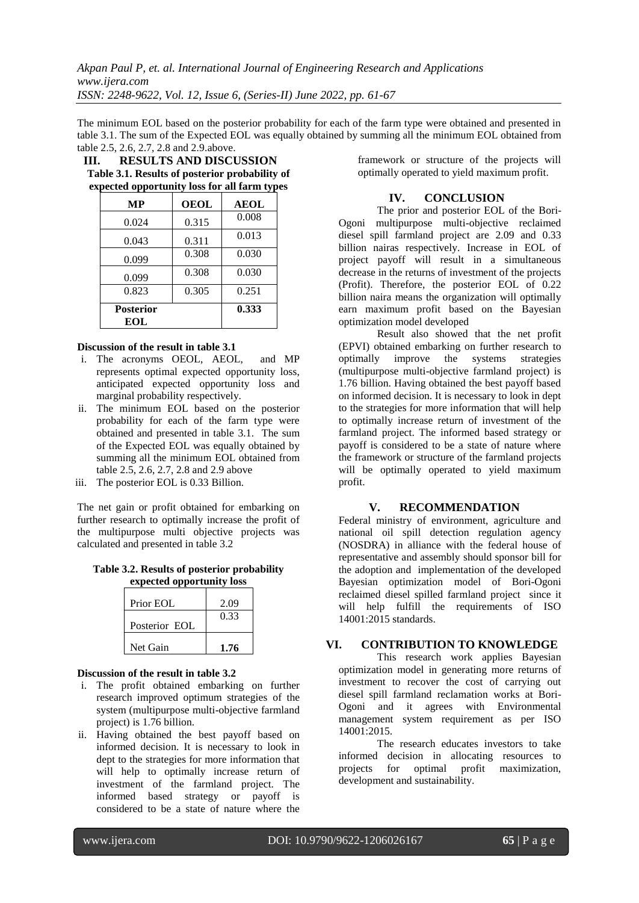The minimum EOL based on the posterior probability for each of the farm type were obtained and presented in table 3.1. The sum of the Expected EOL was equally obtained by summing all the minimum EOL obtained from table 2.5, 2.6, 2.7, 2.8 and 2.9.above.

| Ш. | <b>RESULTS AND DISCUSSION</b>                  |
|----|------------------------------------------------|
|    | Table 3.1. Results of posterior probability of |
|    | expected opportunity loss for all farm types   |

| МP               | <b>OEOL</b> | <b>AEOL</b> |
|------------------|-------------|-------------|
| 0.024            | 0.315       | 0.008       |
| 0.043            | 0.311       | 0.013       |
| 0.099            | 0.308       | 0.030       |
| 0.099            | 0.308       | 0.030       |
| 0.823            | 0.305       | 0.251       |
| <b>Posterior</b> |             | 0.333       |
| EOL              |             |             |

#### **Discussion of the result in table 3.1**

- i. The acronyms OEOL, AEOL, and MP represents optimal expected opportunity loss, anticipated expected opportunity loss and marginal probability respectively.
- ii. The minimum EOL based on the posterior probability for each of the farm type were obtained and presented in table 3.1. The sum of the Expected EOL was equally obtained by summing all the minimum EOL obtained from table 2.5, 2.6, 2.7, 2.8 and 2.9 above
- iii. The posterior EOL is 0.33 Billion.

The net gain or profit obtained for embarking on further research to optimally increase the profit of the multipurpose multi objective projects was calculated and presented in table 3.2

**Table 3.2. Results of posterior probability expected opportunity loss**

| Prior EOL     | 2.09 |
|---------------|------|
| Posterior EOL | 0.33 |
| Net Gain      | 1.76 |

#### **Discussion of the result in table 3.2**

- i. The profit obtained embarking on further research improved optimum strategies of the system (multipurpose multi-objective farmland project) is 1.76 billion.
- ii. Having obtained the best payoff based on informed decision. It is necessary to look in dept to the strategies for more information that will help to optimally increase return of investment of the farmland project. The informed based strategy or payoff is considered to be a state of nature where the

framework or structure of the projects will optimally operated to yield maximum profit.

#### **IV. CONCLUSION**

The prior and posterior EOL of the Bori-Ogoni multipurpose multi-objective reclaimed diesel spill farmland project are 2.09 and 0.33 billion nairas respectively. Increase in EOL of project payoff will result in a simultaneous decrease in the returns of investment of the projects (Profit). Therefore, the posterior EOL of 0.22 billion naira means the organization will optimally earn maximum profit based on the Bayesian optimization model developed

Result also showed that the net profit (EPVI) obtained embarking on further research to optimally improve the systems strategies (multipurpose multi-objective farmland project) is 1.76 billion. Having obtained the best payoff based on informed decision. It is necessary to look in dept to the strategies for more information that will help to optimally increase return of investment of the farmland project. The informed based strategy or payoff is considered to be a state of nature where the framework or structure of the farmland projects will be optimally operated to yield maximum profit.

#### **V. RECOMMENDATION**

Federal ministry of environment, agriculture and national oil spill detection regulation agency (NOSDRA) in alliance with the federal house of representative and assembly should sponsor bill for the adoption and implementation of the developed Bayesian optimization model of Bori-Ogoni reclaimed diesel spilled farmland project since it will help fulfill the requirements of ISO 14001:2015 standards.

## **VI. CONTRIBUTION TO KNOWLEDGE**

This research work applies Bayesian optimization model in generating more returns of investment to recover the cost of carrying out diesel spill farmland reclamation works at Bori-Ogoni and it agrees with Environmental management system requirement as per ISO 14001:2015.

The research educates investors to take informed decision in allocating resources to projects for optimal profit maximization, development and sustainability.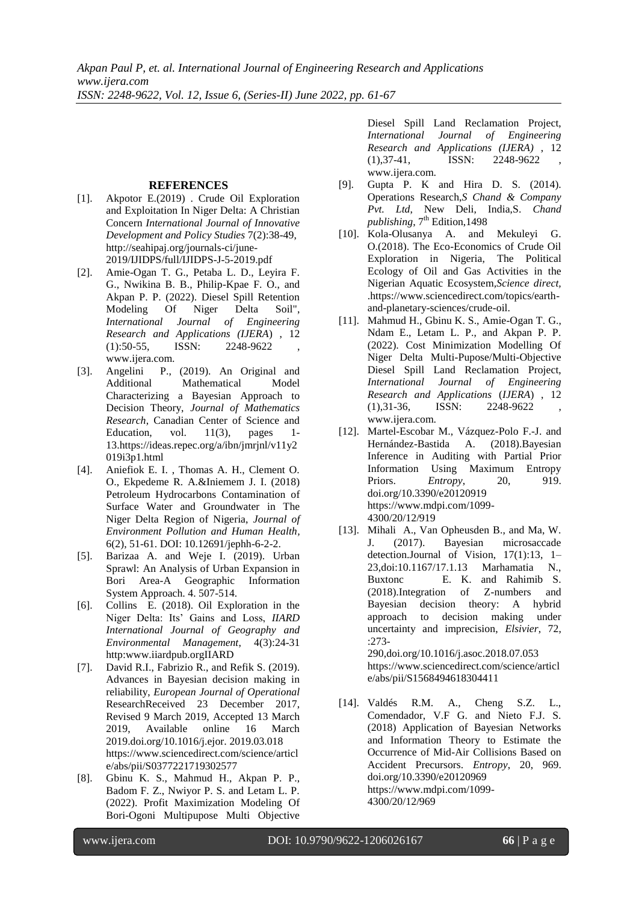### **REFERENCES**

- [1]. Akpotor E.(2019) . Crude Oil Exploration and Exploitation In Niger Delta: A Christian Concern *International Journal of Innovative Development and Policy Studies* 7(2):38-49, [http://seahipaj.org/journals-ci/june-](http://seahipaj.org/journals-ci/june-2019/IJIDPS/full/IJIDPS-J-5-2019.pdf)[2019/IJIDPS/full/IJIDPS-J-5-2019.pdf](http://seahipaj.org/journals-ci/june-2019/IJIDPS/full/IJIDPS-J-5-2019.pdf)
- [2]. Amie-Ogan T. G., Petaba L. D., Leyira F. G., Nwikina B. B., Philip-Kpae F. O., and Akpan P. P. (2022). Diesel Spill Retention Modeling Of Niger Delta Soil", *International Journal of Engineering Research and Applications (IJERA*) , 12  $(1):50-55$ , ISSN: 2248-9622 [www.ijera.com.](http://www.ijera.com/)
- [3]. Angelini P., (2019). An Original and Additional Mathematical Model Characterizing a Bayesian Approach to Decision Theory, *Journal of Mathematics Research*, Canadian Center of Science and Education, vol.  $11(3)$ , pages 1-1[3.https://ideas.repec.org/a/ibn/jmrjnl/v11y2](https://ideas.repec.org/a/ibn/jmrjnl/v11y2019i3p1.html) [019i3p1.html](https://ideas.repec.org/a/ibn/jmrjnl/v11y2019i3p1.html)
- [4]. Aniefiok E. I. , Thomas A. H., Clement O. O., Ekpedeme R. A.&Iniemem J. I. (2018) Petroleum Hydrocarbons Contamination of Surface Water and Groundwater in The Niger Delta Region of Nigeria, *Journal of Environment Pollution and Human Health,*  6(2), 51-61. DOI: 10.12691/jephh-6-2-2.
- [5]. Barizaa A. and Weje I. (2019). Urban Sprawl: An Analysis of Urban Expansion in Bori Area-A Geographic Information System Approach. 4. 507-514.
- [6]. Collins E. (2018). Oil Exploration in the Niger Delta: Its' Gains and Loss, *IIARD International Journal of Geography and Environmental Management*, 4(3):24-31 http:www.iiardpub.orgIIARD
- [7]. David R.I., Fabrizio R., and Refik S. (2019). Advances in Bayesian decision making in reliability, *European Journal of Operational* ResearchReceived 23 December 2017, Revised 9 March 2019, Accepted 13 March 2019, Available online 16 March 2019.doi.org/10.1016/j.ejor. 2019.03.018 [https://www.sciencedirect.com/science/articl](https://www.sciencedirect.com/science/article/abs/pii/S0377221719302577) [e/abs/pii/S0377221719302577](https://www.sciencedirect.com/science/article/abs/pii/S0377221719302577)
- [8]. Gbinu K. S., Mahmud H., Akpan P. P., Badom F. Z., Nwiyor P. S. and Letam L. P. (2022). Profit Maximization Modeling Of Bori-Ogoni Multipupose Multi Objective

Diesel Spill Land Reclamation Project, *International Journal of Engineering Research and Applications (IJERA)* , 12  $(1),37-41,$  ISSN: 2248-9622 [www.ijera.com.](http://www.ijera.com/)

- [9]. Gupta P. K and Hira D. S. (2014). Operations Research,*S Chand & Company Pvt. Ltd*, New Deli, India,S. *Chand*  publishing, 7<sup>th</sup> Edition, 1498
- [10]. Kola-Olusanya A. and Mekuleyi G. O.(2018). [The Eco-Economics of Crude Oil](https://www.sciencedirect.com/science/article/pii/B9780128093993000148)  [Exploration in Nigeria,](https://www.sciencedirect.com/science/article/pii/B9780128093993000148) [The Political](https://www.sciencedirect.com/science/book/9780128093993)  [Ecology of Oil and Gas Activities](https://www.sciencedirect.com/science/book/9780128093993) in the [Nigerian Aquatic Ecosystem](https://www.sciencedirect.com/science/book/9780128093993)*,Science direct,*  .https://www.sciencedirect.com/topics/earthand-planetary-sciences/crude-oil.
- [11]. Mahmud H., Gbinu K. S., Amie-Ogan T. G., Ndam E., Letam L. P., and Akpan P. P. (2022). Cost Minimization Modelling Of Niger Delta Multi-Pupose/Multi-Objective Diesel Spill Land Reclamation Project, *International Journal of Engineering Research and Applications* (*IJERA*) , 12  $(1),31-36,$  ISSN:  $2248-9622$ www.ijera.com.
- [12]. Martel-Escobar M., Vázquez-Polo F.-J. and Hernández-Bastida A. (2018).Bayesian Inference in Auditing with Partial Prior Information Using Maximum Entropy Priors. *Entropy*, 20, 919. doi.org/10.3390/e20120919 https://www.mdpi.com/1099- 4300/20/12/919
- [13]. Mihali A., Van Opheusden B., and Ma, W. J. (2017). Bayesian microsaccade detection.Journal of Vision, 17(1):13, 1– 23,doi:10.1167/17.1.13 Marhamatia N., Buxtonc E. K. and Rahimib S. (2018).Integration of Z-numbers and Bayesian decision theory: A hybrid approach to decision making under uncertainty and imprecision, *Elsivier*, 72, :273- 290,doi.org/10.1016/j.asoc.2018.07.053

https://www.sciencedirect.com/science/articl e/abs/pii/S1568494618304411

[14]. Valdés R.M. A., Cheng S.Z. L., Comendador, V.F G. and Nieto F.J. S. (2018) Application of Bayesian Networks and Information Theory to Estimate the Occurrence of Mid-Air Collisions Based on Accident Precursors. *Entropy*, 20, 969. doi.org/10.3390/e20120969 https://www.mdpi.com/1099- 4300/20/12/969